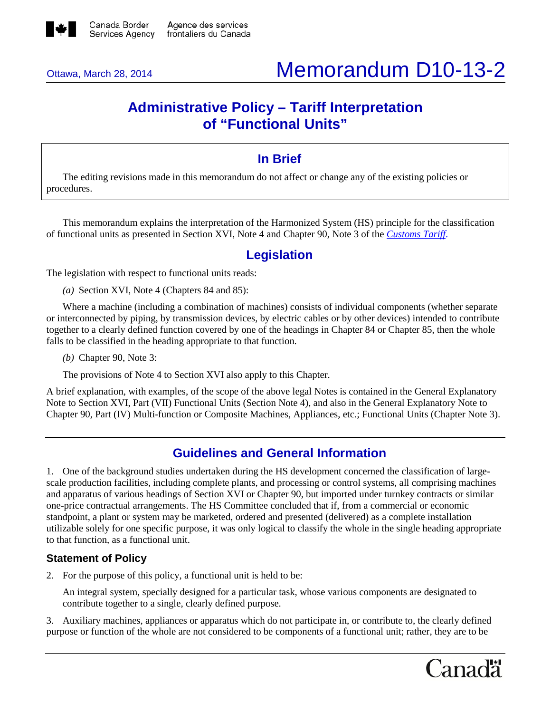

# Ottawa, March 28, 2014 Memorandum D10-13-2

# **Administrative Policy – Tariff Interpretation of "Functional Units"**

## **In Brief**

The editing revisions made in this memorandum do not affect or change any of the existing policies or procedures.

This memorandum explains the interpretation of the Harmonized System (HS) principle for the classification of functional units as presented in Section XVI, Note 4 and Chapter 90, Note 3 of the *[Customs Tariff](http://www.cbsa-asfc.gc.ca/trade-commerce/tariff-tarif/menu-eng.html)*.

## **Legislation**

The legislation with respect to functional units reads:

*(a)* Section XVI, Note 4 (Chapters 84 and 85):

Where a machine (including a combination of machines) consists of individual components (whether separate or interconnected by piping, by transmission devices, by electric cables or by other devices) intended to contribute together to a clearly defined function covered by one of the headings in Chapter 84 or Chapter 85, then the whole falls to be classified in the heading appropriate to that function.

*(b)* Chapter 90, Note 3:

The provisions of Note 4 to Section XVI also apply to this Chapter.

A brief explanation, with examples, of the scope of the above legal Notes is contained in the General Explanatory Note to Section XVI, Part (VII) Functional Units (Section Note 4), and also in the General Explanatory Note to Chapter 90, Part (IV) Multi-function or Composite Machines, Appliances, etc.; Functional Units (Chapter Note 3).

# **Guidelines and General Information**

1. One of the background studies undertaken during the HS development concerned the classification of largescale production facilities, including complete plants, and processing or control systems, all comprising machines and apparatus of various headings of Section XVI or Chapter 90, but imported under turnkey contracts or similar one-price contractual arrangements. The HS Committee concluded that if, from a commercial or economic standpoint, a plant or system may be marketed, ordered and presented (delivered) as a complete installation utilizable solely for one specific purpose, it was only logical to classify the whole in the single heading appropriate to that function, as a functional unit.

## **Statement of Policy**

2. For the purpose of this policy, a functional unit is held to be:

An integral system, specially designed for a particular task, whose various components are designated to contribute together to a single, clearly defined purpose.

3. Auxiliary machines, appliances or apparatus which do not participate in, or contribute to, the clearly defined purpose or function of the whole are not considered to be components of a functional unit; rather, they are to be

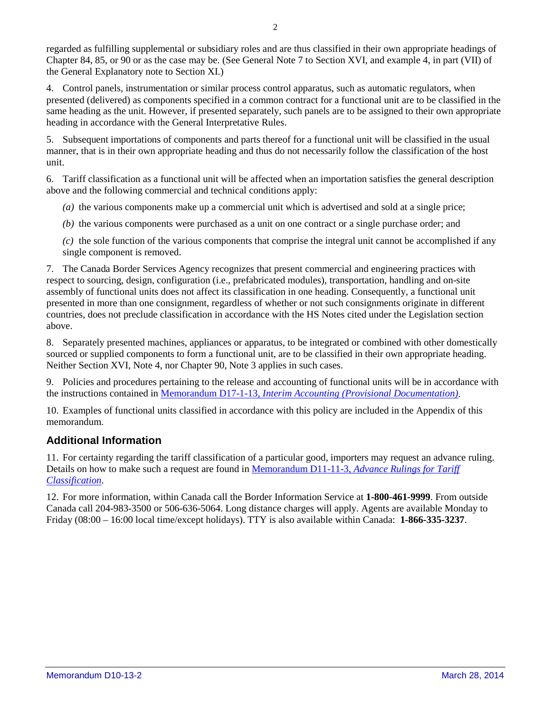regarded as fulfilling supplemental or subsidiary roles and are thus classified in their own appropriate headings of Chapter 84, 85, or 90 or as the case may be. (See General Note 7 to Section XVI, and example 4, in part (VII) of the General Explanatory note to Section XI.)

4. Control panels, instrumentation or similar process control apparatus, such as automatic regulators, when presented (delivered) as components specified in a common contract for a functional unit are to be classified in the same heading as the unit. However, if presented separately, such panels are to be assigned to their own appropriate heading in accordance with the General Interpretative Rules.

5. Subsequent importations of components and parts thereof for a functional unit will be classified in the usual manner, that is in their own appropriate heading and thus do not necessarily follow the classification of the host unit.

6. Tariff classification as a functional unit will be affected when an importation satisfies the general description above and the following commercial and technical conditions apply:

- *(a)* the various components make up a commercial unit which is advertised and sold at a single price;
- *(b)* the various components were purchased as a unit on one contract or a single purchase order; and

*(c)* the sole function of the various components that comprise the integral unit cannot be accomplished if any single component is removed.

7. The Canada Border Services Agency recognizes that present commercial and engineering practices with respect to sourcing, design, configuration (i.e., prefabricated modules), transportation, handling and on-site assembly of functional units does not affect its classification in one heading. Consequently, a functional unit presented in more than one consignment, regardless of whether or not such consignments originate in different countries, does not preclude classification in accordance with the HS Notes cited under the Legislation section above.

8. Separately presented machines, appliances or apparatus, to be integrated or combined with other domestically sourced or supplied components to form a functional unit, are to be classified in their own appropriate heading. Neither Section XVI, Note 4, nor Chapter 90, Note 3 applies in such cases.

9. Policies and procedures pertaining to the release and accounting of functional units will be in accordance with the instructions contained in Memorandum D17-1-13, *[Interim Accounting \(Provisional Documentation\)](http://www.cbsa-asfc.gc.ca/publications/dm-md/d17/d17-1-13-eng.html)*.

10. Examples of functional units classified in accordance with this policy are included in the Appendix of this memorandum.

## **Additional Information**

11. For certainty regarding the tariff classification of a particular good, importers may request an advance ruling. Details on how to make such a request are found in Memorandum D11-11-3, *[Advance Rulings for Tariff](http://www.cbsa-asfc.gc.ca/publications/dm-md/d11/d11-11-3-eng.html)  [Classification](http://www.cbsa-asfc.gc.ca/publications/dm-md/d11/d11-11-3-eng.html)*.

12. For more information, within Canada call the Border Information Service at **1-800-461-9999**. From outside Canada call 204-983-3500 or 506-636-5064. Long distance charges will apply. Agents are available Monday to Friday (08:00 – 16:00 local time/except holidays). TTY is also available within Canada: **1-866-335-3237**.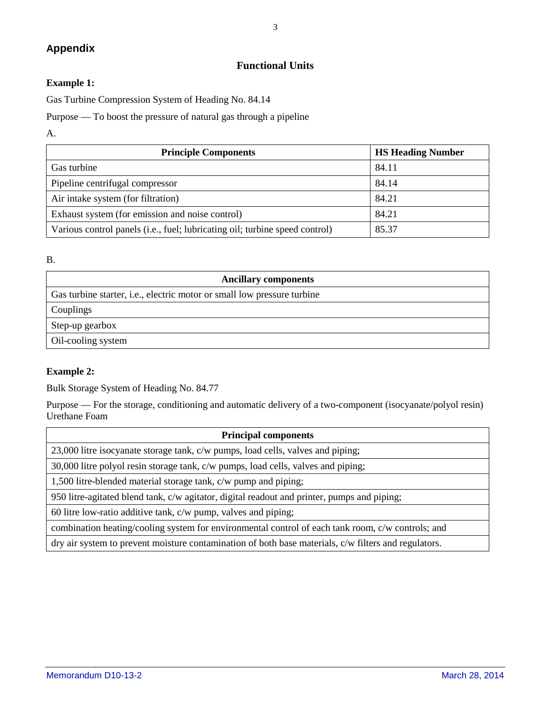### **Appendix**

# 3

## **Functional Units**

#### **Example 1:**

Gas Turbine Compression System of Heading No. 84.14

Purpose — To boost the pressure of natural gas through a pipeline

#### A.

| <b>Principle Components</b>                                                 | <b>HS Heading Number</b> |
|-----------------------------------------------------------------------------|--------------------------|
| Gas turbine                                                                 | 84.11                    |
| Pipeline centrifugal compressor                                             | 84.14                    |
| Air intake system (for filtration)                                          | 84.21                    |
| Exhaust system (for emission and noise control)                             | 84.21                    |
| Various control panels (i.e., fuel; lubricating oil; turbine speed control) | 85.37                    |

#### B.

| <b>Ancillary components</b>                                                     |
|---------------------------------------------------------------------------------|
| Gas turbine starter, <i>i.e.</i> , electric motor or small low pressure turbine |
| Couplings                                                                       |
| Step-up gearbox                                                                 |
| Oil-cooling system                                                              |

#### **Example 2:**

Bulk Storage System of Heading No. 84.77

Purpose — For the storage, conditioning and automatic delivery of a two-component (isocyanate/polyol resin) Urethane Foam

| <b>Principal components</b>                                                                          |  |
|------------------------------------------------------------------------------------------------------|--|
| 23,000 litre isocyanate storage tank, c/w pumps, load cells, valves and piping;                      |  |
| 30,000 litre polyol resin storage tank, c/w pumps, load cells, valves and piping;                    |  |
| 1,500 litre-blended material storage tank, c/w pump and piping;                                      |  |
| 950 litre-agitated blend tank, c/w agitator, digital readout and printer, pumps and piping;          |  |
| 60 litre low-ratio additive tank, c/w pump, valves and piping;                                       |  |
| combination heating/cooling system for environmental control of each tank room, c/w controls; and    |  |
| dry air system to prevent moisture contamination of both base materials, c/w filters and regulators. |  |